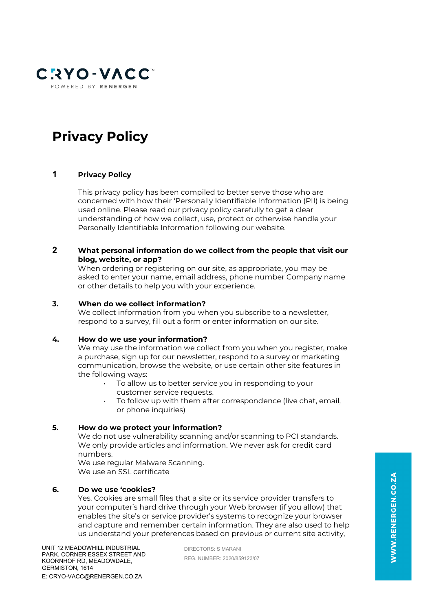

# **Privacy Policy**

# **1 Privacy Policy**

This privacy policy has been compiled to better serve those who are concerned with how their 'Personally Identifiable Information (PII) is being used online. Please read our privacy policy carefully to get a clear understanding of how we collect, use, protect or otherwise handle your Personally Identifiable Information following our website.

### **2 What personal information do we collect from the people that visit our blog, website, or app?**

When ordering or registering on our site, as appropriate, you may be asked to enter your name, email address, phone number Company name or other details to help you with your experience.

# **3. When do we collect information?**

We collect information from you when you subscribe to a newsletter, respond to a survey, fill out a form or enter information on our site.

#### **4. How do we use your information?**

We may use the information we collect from you when you register, make a purchase, sign up for our newsletter, respond to a survey or marketing communication, browse the website, or use certain other site features in the following ways:

- To allow us to better service you in responding to your customer service requests.
- To follow up with them after correspondence (live chat, email, or phone inquiries)

#### **5. How do we protect your information?**

We do not use vulnerability scanning and/or scanning to PCI standards. We only provide articles and information. We never ask for credit card numbers.

We use regular Malware Scanning. We use an SSL certificate

### **6. Do we use 'cookies?**

Yes. Cookies are small files that a site or its service provider transfers to your computer's hard drive through your Web browser (if you allow) that enables the site's or service provider's systems to recognize your browser and capture and remember certain information. They are also used to help us understand your preferences based on previous or current site activity,

DIRECTORS: S MARANI REG. NUMBER: 2020/859123/07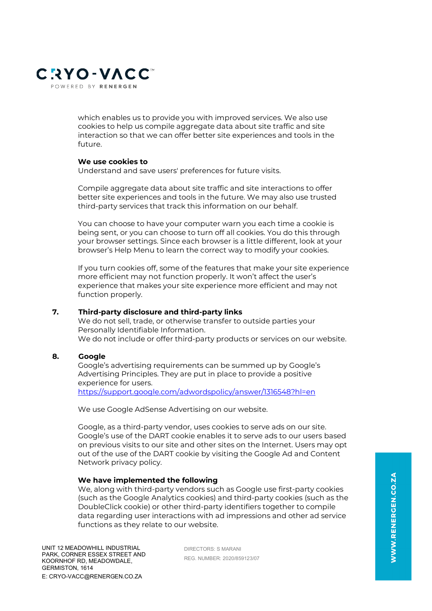

which enables us to provide you with improved services. We also use cookies to help us compile aggregate data about site traffic and site interaction so that we can offer better site experiences and tools in the future.

#### **We use cookies to**

Understand and save users' preferences for future visits.

Compile aggregate data about site traffic and site interactions to offer better site experiences and tools in the future. We may also use trusted third-party services that track this information on our behalf.

You can choose to have your computer warn you each time a cookie is being sent, or you can choose to turn off all cookies. You do this through your browser settings. Since each browser is a little different, look at your browser's Help Menu to learn the correct way to modify your cookies.

If you turn cookies off, some of the features that make your site experience more efficient may not function properly. It won't affect the user's experience that makes your site experience more efficient and may not function properly.

#### **7. Third-party disclosure and third-party links**

We do not sell, trade, or otherwise transfer to outside parties your Personally Identifiable Information. We do not include or offer third-party products or services on our website.

#### **8. Google**

Google's advertising requirements can be summed up by Google's Advertising Principles. They are put in place to provide a positive experience for users. <https://support.google.com/adwordspolicy/answer/1316548?hl=en>

We use Google AdSense Advertising on our website.

Google, as a third-party vendor, uses cookies to serve ads on our site. Google's use of the DART cookie enables it to serve ads to our users based on previous visits to our site and other sites on the Internet. Users may opt out of the use of the DART cookie by visiting the Google Ad and Content Network privacy policy.

#### **We have implemented the following**

We, along with third-party vendors such as Google use first-party cookies (such as the Google Analytics cookies) and third-party cookies (such as the DoubleClick cookie) or other third-party identifiers together to compile data regarding user interactions with ad impressions and other ad service functions as they relate to our website.

DIRECTORS: S MARANI REG. NUMBER: 2020/859123/07